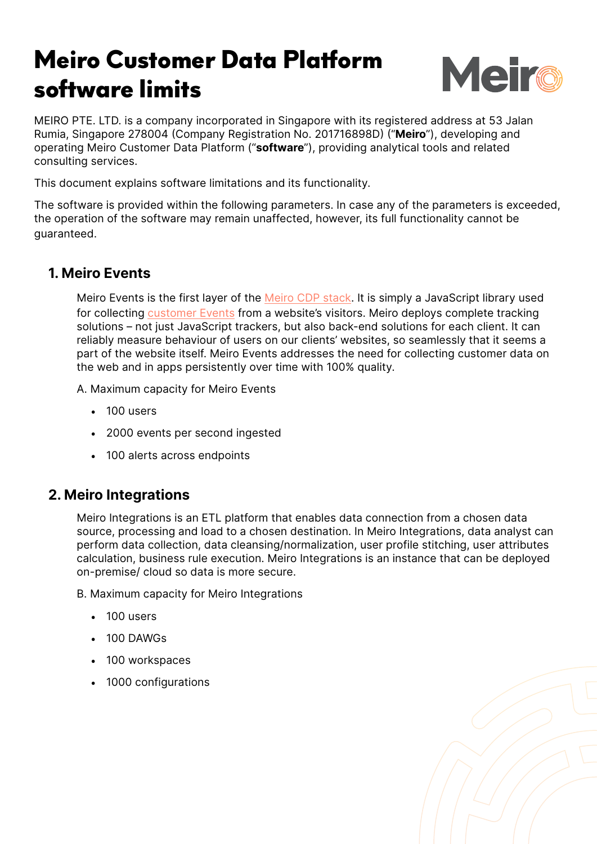## Meiro Customer Data Platform software limits



MEIRO PTE. LTD. is a company incorporated in Singapore with its registered address at 53 Jalan Rumia, Singapore 278004 (Company Registration No. 201716898D) ("**Meiro**"), developing and operating Meiro Customer Data Platform ("**software**"), providing analytical tools and related consulting services.

This document explains software limitations and its functionality.

The software is provided within the following parameters. In case any of the parameters is exceeded, the operation of the software may remain unaffected, however, its full functionality cannot be guaranteed.

## **1. Meiro Events**

Meiro Events is the first layer of the [Meiro CDP stack](https://docs.meiro.io/books/meiro-knowledge-base/page/meiro-customer-data-platform-%28cdp%29---how-does-it-all-work-together). It is simply a JavaScript library used for collecting [customer Events](https://docs.meiro.io/books/meiro-business-explorer/page/glossary-what-is-what-in-meiro-business-explorer) from a website's visitors. Meiro deploys complete tracking solutions – not just JavaScript trackers, but also back-end solutions for each client. It can reliably measure behaviour of users on our clients' websites, so seamlessly that it seems a part of the website itself. Meiro Events addresses the need for collecting customer data on the web and in apps persistently over time with 100% quality.

A. Maximum capacity for Meiro Events

- 100 users
- 2000 events per second ingested
- 100 alerts across endpoints

## **2. Meiro Integrations**

Meiro Integrations is an ETL platform that enables data connection from a chosen data source, processing and load to a chosen destination. In Meiro Integrations, data analyst can perform data collection, data cleansing/normalization, user profile stitching, user attributes calculation, business rule execution. Meiro Integrations is an instance that can be deployed on-premise/ cloud so data is more secure.

B. Maximum capacity for Meiro Integrations

- 100 users
- 100 DAWGs
- 100 workspaces
- 1000 configurations